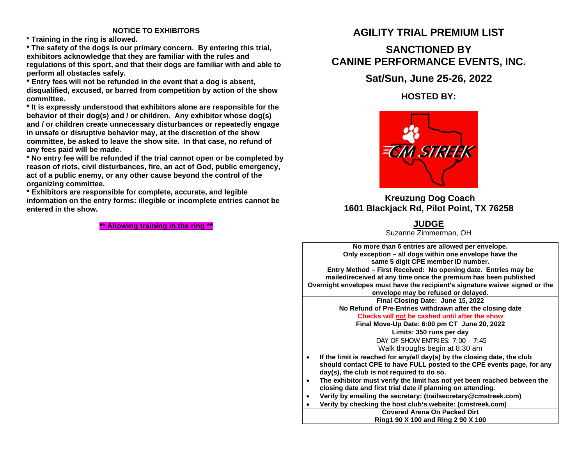### **NOTICE TO EXHIBITORS**

**\* Training in the ring is allowed.**

**\* The safety of the dogs is our primary concern. By entering this trial, exhibitors acknowledge that they are familiar with the rules and regulations of this sport, and that their dogs are familiar with and able to perform all obstacles safely.**

**\* Entry fees will not be refunded in the event that a dog is absent, disqualified, excused, or barred from competition by action of the show committee.**

**\* It is expressly understood that exhibitors alone are responsible for the behavior of their dog(s) and / or children. Any exhibitor whose dog(s) and / or children create unnecessary disturbances or repeatedly engage in unsafe or disruptive behavior may, at the discretion of the show committee, be asked to leave the show site. In that case, no refund of any fees paid will be made.**

**\* No entry fee will be refunded if the trial cannot open or be completed by reason of riots, civil disturbances, fire, an act of God, public emergency, act of a public enemy, or any other cause beyond the control of the organizing committee.**

**\* Exhibitors are responsible for complete, accurate, and legible information on the entry forms: illegible or incomplete entries cannot be entered in the show.**

**\*\* Allowing training in the ring \*\***

## **AGILITY TRIAL PREMIUM LIST**

# **SANCTIONED BY CANINE PERFORMANCE EVENTS, INC.**

## **Sat/Sun, June 25-26, 2022**

**HOSTED BY:** 



## **Kreuzung Dog Coach 1601 Blackjack Rd, Pilot Point, TX 76258**

**JUDGE**

Suzanne Zimmerman, OH

**No more than 6 entries are allowed per envelope. Only exception – all dogs within one envelope have the same 5 digit CPE member ID number.**

**Entry Method – First Received: No opening date. Entries may be mailed/received at any time once the premium has been published Overnight envelopes must have the recipient's signature waiver signed or the envelope may be refused or delayed.**

**Final Closing Date: June 15, 2022 No Refund of Pre-Entries withdrawn after the closing date Checks will not be cashed until after the show**

**Final Move-Up Date: 6:00 pm CT June 20, 2022**

**Limits: 350 runs per day**

DAY OF SHOW ENTRIES: 7:00 – 7:45 Walk throughs begin at 8:30 am

- **If the limit is reached for any/all day(s) by the closing date, the club should contact CPE to have FULL posted to the CPE events page, for any day(s), the club is not required to do so.**
- **The exhibitor must verify the limit has not yet been reached between the closing date and first trial date if planning on attending.**
- **Verify by emailing the secretary: (trailsecretary@cmstreek.com)**
	- **Verify by checking the host club's website: (cmstreek.com)**

**Covered Arena On Packed Dirt Ring1 90 X 100 and Ring 2 90 X 100**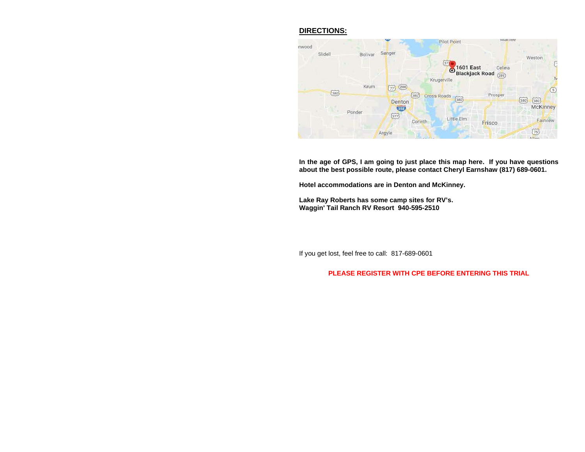## **DIRECTIONS:**



**In the age of GPS, I am going to just place this map here. If you have questions about the best possible route, please contact Cheryl Earnshaw (817) 689-0601.**

**Hotel accommodations are in Denton and McKinney.** 

**Lake Ray Roberts has some camp sites for RV's. Waggin' Tail Ranch RV Resort 940-595-2510** 

If you get lost, feel free to call: 817-689-0601

#### **PLEASE REGISTER WITH CPE BEFORE ENTERING THIS TRIAL**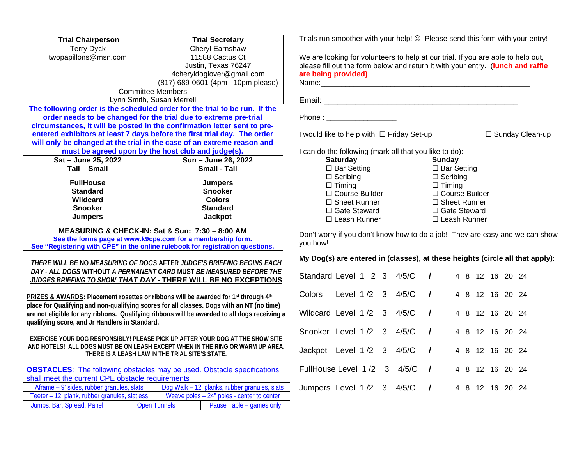| <b>Trial Chairperson</b>                                       | <b>Trial Secretary</b>                                                        |  |  |  |  |  |  |
|----------------------------------------------------------------|-------------------------------------------------------------------------------|--|--|--|--|--|--|
| <b>Terry Dyck</b>                                              | Cheryl Earnshaw                                                               |  |  |  |  |  |  |
| twopapillons@msn.com                                           | 11588 Cactus Ct                                                               |  |  |  |  |  |  |
|                                                                | Justin, Texas 76247                                                           |  |  |  |  |  |  |
|                                                                | 4cheryldoglover@gmail.com                                                     |  |  |  |  |  |  |
|                                                                | (817) 689-0601 (4pm -10pm please)                                             |  |  |  |  |  |  |
|                                                                | <b>Committee Members</b>                                                      |  |  |  |  |  |  |
|                                                                | Lynn Smith, Susan Merrell                                                     |  |  |  |  |  |  |
|                                                                | The following order is the scheduled order for the trial to be run. If the    |  |  |  |  |  |  |
|                                                                | order needs to be changed for the trial due to extreme pre-trial              |  |  |  |  |  |  |
|                                                                | circumstances, it will be posted in the confirmation letter sent to pre-      |  |  |  |  |  |  |
|                                                                | entered exhibitors at least 7 days before the first trial day. The order      |  |  |  |  |  |  |
|                                                                | will only be changed at the trial in the case of an extreme reason and        |  |  |  |  |  |  |
|                                                                | must be agreed upon by the host club and judge(s).                            |  |  |  |  |  |  |
| Sat - June 25, 2022                                            | Sun - June 26, 2022                                                           |  |  |  |  |  |  |
| <b>Tall - Small</b>                                            | <b>Small - Tall</b>                                                           |  |  |  |  |  |  |
| <b>FullHouse</b>                                               | <b>Jumpers</b>                                                                |  |  |  |  |  |  |
| <b>Standard</b>                                                | <b>Snooker</b>                                                                |  |  |  |  |  |  |
| Wildcard                                                       | <b>Colors</b>                                                                 |  |  |  |  |  |  |
| <b>Snooker</b>                                                 | <b>Standard</b>                                                               |  |  |  |  |  |  |
| <b>Jumpers</b>                                                 | <b>Jackpot</b>                                                                |  |  |  |  |  |  |
|                                                                |                                                                               |  |  |  |  |  |  |
| <b>MEASURING &amp; CHECK-IN: Sat &amp; Sun: 7:30 - 8:00 AM</b> |                                                                               |  |  |  |  |  |  |
|                                                                | See the forms page at www.k9cpe.com for a membership form.                    |  |  |  |  |  |  |
|                                                                | See "Registering with CPE" in the online rulebook for registration questions. |  |  |  |  |  |  |
|                                                                | <b>THERE WILL BE NO MEASURING OF DOGS AFTER JUDGE'S BRIEFING BEGINS EACH</b>  |  |  |  |  |  |  |
|                                                                | DAY - ALL DOGS WITHOUT A PERMANENT CARD MUST BE MEASURED BEFORE THE           |  |  |  |  |  |  |
|                                                                | JUDGES BRIEFING TO SHOW THAT DAY - THERE WILL BE NO EXCEPTIONS                |  |  |  |  |  |  |
|                                                                |                                                                               |  |  |  |  |  |  |

**PRIZES & AWARDS: Placement rosettes or ribbons will be awarded for 1st through 4th place for Qualifying and non-qualifying scores for all classes. Dogs with an NT (no time) are not eligible for any ribbons. Qualifying ribbons will be awarded to all dogs receiving a qualifying score, and Jr Handlers in Standard.**

**EXERCISE YOUR DOG RESPONSIBLY! PLEASE PICK UP AFTER YOUR DOG AT THE SHOW SITE AND HOTELS! ALL DOGS MUST BE ON LEASH EXCEPT WHEN IN THE RING OR WARM UP AREA. THERE IS A LEASH LAW IN THE TRIAL SITE'S STATE.**

**OBSTACLES**: The following obstacles may be used. Obstacle specifications shall meet the current CPE obstacle requirements

| Aframe – 9' sides, rubber granules, slats     | Dog Walk - 12' planks, rubber granules, slats |                                              |  |  |
|-----------------------------------------------|-----------------------------------------------|----------------------------------------------|--|--|
| Teeter – 12' plank, rubber granules, slatless |                                               | Weave poles $-24$ " poles - center to center |  |  |
| Jumps: Bar, Spread, Panel                     | <b>Open Tunnels</b>                           | Pause Table – games only                     |  |  |
|                                               |                                               |                                              |  |  |

Trials run smoother with your help! © Please send this form with your entry!

We are looking for volunteers to help at our trial. If you are able to help out, please fill out the form below and return it with your entry. (**lunch and raffle are being provided)** Name:\_\_\_\_\_\_\_\_\_\_\_\_\_\_\_\_\_\_\_\_\_\_\_\_\_\_\_\_\_\_\_\_\_\_\_\_\_\_\_\_\_\_\_\_\_\_\_\_\_\_\_

Email: \_\_\_\_\_\_\_\_\_\_\_\_\_\_\_\_\_\_\_\_\_\_\_\_\_\_\_\_\_\_\_\_\_\_\_\_\_\_\_\_\_\_\_

Phone :

I would like to help with: Friday Set-up Sunday Clean-up

I can do the following (mark all that you like to do):<br>**Saturday Saturday Saturday Sunday**<br>
□ Bar Setting □ Bar Setting  $\Box$  Bar Setting

| $\Box$ Scribing       |
|-----------------------|
| $\Box$ Timing         |
| $\Box$ Course Builder |
| $\Box$ Sheet Runner   |
| $\Box$ Gate Steward   |
| □ Leash Runner        |
|                       |

Don't worry if you don't know how to do a job! They are easy and we can show you how!

#### **My Dog(s) are entered in (classes), at these heights (circle all that apply)**:

| Standard Level 1 2 3 4/5/C /  |  |  |  |  |  | 4 8 12 16 20 24 |  |
|-------------------------------|--|--|--|--|--|-----------------|--|
| Colors Level 1 /2 3 4/5/C /   |  |  |  |  |  | 4 8 12 16 20 24 |  |
| Wildcard Level 1/2 3 4/5/C /  |  |  |  |  |  | 4 8 12 16 20 24 |  |
| Snooker Level 1/2 3 4/5/C /   |  |  |  |  |  | 4 8 12 16 20 24 |  |
| Jackpot Level 1/2 3 4/5/C /   |  |  |  |  |  | 4 8 12 16 20 24 |  |
| FullHouse Level 1/2 3 4/5/C / |  |  |  |  |  | 4 8 12 16 20 24 |  |
| Jumpers Level 1/2 3 4/5/C /   |  |  |  |  |  | 4 8 12 16 20 24 |  |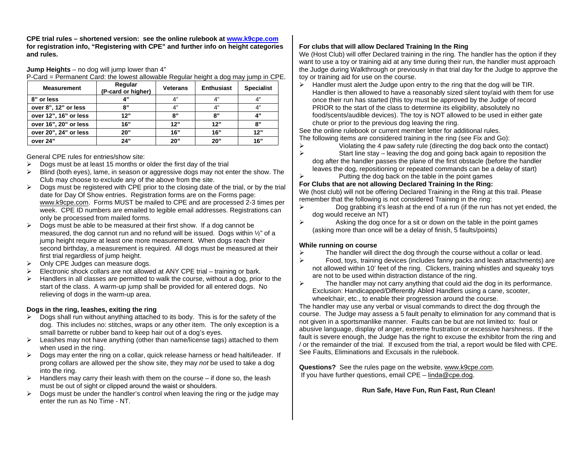**CPE trial rules – shortened version: see the online rulebook at [www.k9cpe.com](http://www.k9cpe.com/) for registration info, "Registering with CPE" and further info on height categories and rules.**

**Jump Heights** – no dog will jump lower than 4"

| P-Card = Permanent Card: the lowest allowable Regular height a dog may jump in CPE. |  |  |
|-------------------------------------------------------------------------------------|--|--|
|-------------------------------------------------------------------------------------|--|--|

| <b>Measurement</b>    | Regular<br>(P-card or higher) | <b>Veterans</b> | <b>Enthusiast</b> | <b>Specialist</b> |
|-----------------------|-------------------------------|-----------------|-------------------|-------------------|
| 8" or less            | A 33                          | 4"              | 4"                | 4"                |
| over 8", 12" or less  | יי א                          | 4"              | 4"                | 4"                |
| over 12", 16" or less | 12"                           | "ג              | "י                | 4"                |
| over 16", 20" or less | 16"                           | 12"             | 12"               | R"                |
| over 20", 24" or less | 20"                           | 16"             | 16"               | 12"               |
| over 24"              | 24"                           | 20"             | 20"               | 16"               |

General CPE rules for entries/show site:

- $\triangleright$  Dogs must be at least 15 months or older the first day of the trial
- $\triangleright$  Blind (both eyes), lame, in season or aggressive dogs may not enter the show. The Club may choose to exclude any of the above from the site.
- $\triangleright$  Dogs must be registered with CPE prior to the closing date of the trial, or by the trial date for Day Of Show entries. Registration forms are on the Forms page: [www.k9cpe.com.](http://www.k9cpe.com/) Forms MUST be mailed to CPE and are processed 2-3 times per week. CPE ID numbers are emailed to legible email addresses. Registrations can only be processed from mailed forms.
- $\triangleright$  Dogs must be able to be measured at their first show. If a dog cannot be measured, the dog cannot run and no refund will be issued. Dogs within  $\frac{1}{2}$  of a jump height require at least one more measurement. When dogs reach their second birthday, a measurement is required. All dogs must be measured at their first trial regardless of jump height.
- $\triangleright$  Only CPE Judges can measure dogs.
- $\triangleright$  Electronic shock collars are not allowed at ANY CPE trial training or bark.
- $\triangleright$  Handlers in all classes are permitted to walk the course, without a dog, prior to the start of the class. A warm-up jump shall be provided for all entered dogs. No relieving of dogs in the warm-up area.

#### **Dogs in the ring, leashes, exiting the ring**

- $\triangleright$  Dogs shall run without anything attached to its body. This is for the safety of the dog. This includes no: stitches, wraps or any other item. The only exception is a small barrette or rubber band to keep hair out of a dog's eyes.
- $\triangleright$  Leashes may not have anything (other than name/license tags) attached to them when used in the ring.
- $\triangleright$  Dogs may enter the ring on a collar, quick release harness or head halti/leader. If prong collars are allowed per the show site, they may *not* be used to take a dog into the ring.
- $\triangleright$  Handlers may carry their leash with them on the course if done so, the leash must be out of sight or clipped around the waist or shoulders.
- $\triangleright$  Dogs must be under the handler's control when leaving the ring or the judge may enter the run as No Time - NT.

## **For clubs that will allow Declared Training In the Ring**

We (Host Club) will offer Declared training in the ring. The handler has the option if they want to use a toy or training aid at any time during their run, the handler must approach the Judge during Walkthrough or previously in that trial day for the Judge to approve the toy or training aid for use on the course.

 Handler must alert the Judge upon entry to the ring that the dog will be TIR. Handler is then allowed to have a reasonably sized silent toy/aid with them for use once their run has started (this toy must be approved by the Judge of record PRIOR to the start of the class to determine its eligibility, absolutely no food/scents/audible devices). The toy is NOT allowed to be used in either gate chute or prior to the previous dog leaving the ring.

See the online rulebook or current member letter for additional rules. The following items *are* considered training in the ring (see Fix and Go):

- 
- $\triangleright$  Violating the 4 paw safety rule (directing the dog back onto the contact)<br>Start line stay leaving the dog and going back again to reposition the Start line stay – leaving the dog and going back again to reposition the dog after the handler passes the plane of the first obstacle (before the handler leaves the dog, repositioning or repeated commands can be a delay of start)
- $\triangleright$  Putting the dog back on the table in the point games

#### **For Clubs that are not allowing Declared Training In the Ring:**

We (host club) will not be offering Declared Training in the Ring at this trail. Please remember that the following is not considered Training in the ring:

- $\triangleright$  Dog grabbing it's leash at the end of a run (if the run has not yet ended, the dog would receive an NT)
- $\triangleright$  Asking the dog once for a sit or down on the table in the point games (asking more than once will be a delay of finish, 5 faults/points)

#### **While running on course**

- $\triangleright$  The handler will direct the dog through the course without a collar or lead.<br> $\triangleright$  Food, to estiming devices (includes fanny packs and leash attachments)
- Food, toys, training devices (includes fanny packs and leash attachments) are not allowed within 10' feet of the ring. Clickers, training whistles and squeaky toys are not to be used within distraction distance of the ring.
- $\triangleright$  The handler may not carry anything that could aid the dog in its performance. Exclusion: Handicapped/Differently Abled Handlers using a cane, scooter, wheelchair, etc., to enable their progression around the course.

The handler may use any verbal or visual commands to direct the dog through the course. The Judge may assess a 5 fault penalty to elimination for any command that is not given in a sportsmanlike manner. Faults can be but are not limited to: foul or abusive language, display of anger, extreme frustration or excessive harshness. If the fault is severe enough, the Judge has the right to excuse the exhibitor from the ring and / or the remainder of the trial. If excused from the trial, a report would be filed with CPE. See Faults, Eliminations and Excusals in the rulebook.

**Questions?** See the rules page on the website, [www.k9cpe.com.](http://www.k9cpe.com/) If you have further questions, email CPE – linda@c[pe.dog](mailto:cpe@charter.net).

#### **Run Safe, Have Fun, Run Fast, Run Clean!**